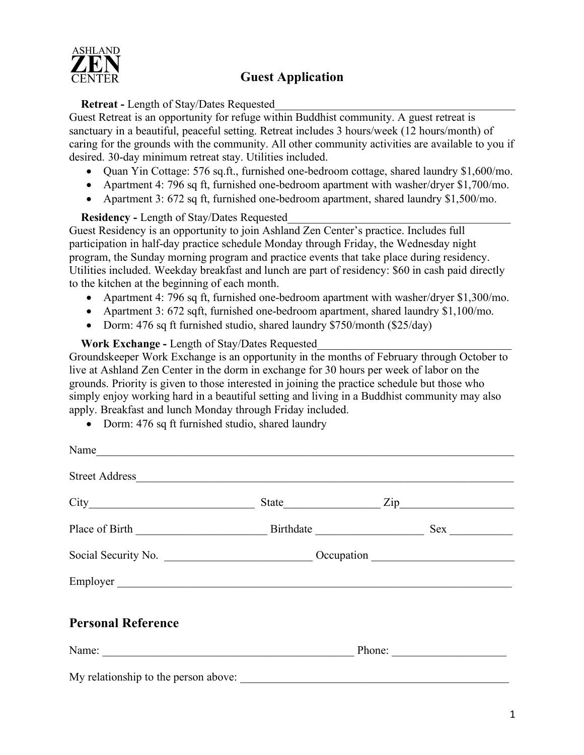

#### **Retreat -** Length of Stay/Dates Requested\_\_\_\_\_\_\_\_\_\_\_\_\_\_\_\_\_\_\_\_\_\_\_\_\_\_\_\_\_\_\_\_\_\_\_\_\_\_\_\_\_\_

Guest Retreat is an opportunity for refuge within Buddhist community. A guest retreat is sanctuary in a beautiful, peaceful setting. Retreat includes 3 hours/week (12 hours/month) of caring for the grounds with the community. All other community activities are available to you if desired. 30-day minimum retreat stay. Utilities included.

- Ouan Yin Cottage: 576 sq.ft., furnished one-bedroom cottage, shared laundry \$1,600/mo.
- Apartment 4: 796 sq ft, furnished one-bedroom apartment with washer/dryer \$1,700/mo.
- Apartment 3: 672 sq ft, furnished one-bedroom apartment, shared laundry \$1,500/mo.

#### **Residency -** Length of Stay/Dates Requested\_\_\_\_\_\_\_\_\_\_\_\_\_\_\_\_\_\_\_\_\_\_\_\_\_\_\_\_\_\_\_\_\_\_\_\_\_\_\_

Guest Residency is an opportunity to join Ashland Zen Center's practice. Includes full participation in half-day practice schedule Monday through Friday, the Wednesday night program, the Sunday morning program and practice events that take place during residency. Utilities included. Weekday breakfast and lunch are part of residency: \$60 in cash paid directly to the kitchen at the beginning of each month.

- Apartment 4: 796 sq ft, furnished one-bedroom apartment with washer/dryer \$1,300/mo.
- Apartment 3: 672 sqft, furnished one-bedroom apartment, shared laundry \$1,100/mo.
- Dorm: 476 sq ft furnished studio, shared laundry \$750/month (\$25/day)

#### **Work Exchange -** Length of Stay/Dates Requested

Groundskeeper Work Exchange is an opportunity in the months of February through October to live at Ashland Zen Center in the dorm in exchange for 30 hours per week of labor on the grounds. Priority is given to those interested in joining the practice schedule but those who simply enjoy working hard in a beautiful setting and living in a Buddhist community may also apply. Breakfast and lunch Monday through Friday included.

• Dorm: 476 sq ft furnished studio, shared laundry

| Name                                 |  |  |  |
|--------------------------------------|--|--|--|
|                                      |  |  |  |
|                                      |  |  |  |
|                                      |  |  |  |
|                                      |  |  |  |
|                                      |  |  |  |
| <b>Personal Reference</b>            |  |  |  |
|                                      |  |  |  |
| My relationship to the person above: |  |  |  |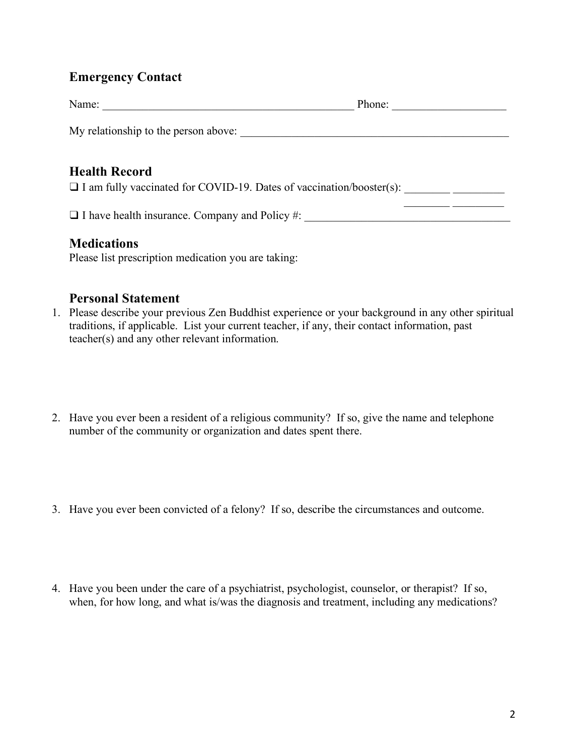# **Emergency Contact**

| Name:                                                                                               | Phone: |
|-----------------------------------------------------------------------------------------------------|--------|
| My relationship to the person above:                                                                |        |
| <b>Health Record</b><br>$\Box$ I am fully vaccinated for COVID-19. Dates of vaccination/booster(s): |        |
| $\Box$ I have health insurance. Company and Policy #:                                               |        |

### **Medications**

Please list prescription medication you are taking:

### **Personal Statement**

- 1. Please describe your previous Zen Buddhist experience or your background in any other spiritual traditions, if applicable. List your current teacher, if any, their contact information, past teacher(s) and any other relevant information.
- 2. Have you ever been a resident of a religious community? If so, give the name and telephone number of the community or organization and dates spent there.
- 3. Have you ever been convicted of a felony? If so, describe the circumstances and outcome.
- 4. Have you been under the care of a psychiatrist, psychologist, counselor, or therapist? If so, when, for how long, and what is/was the diagnosis and treatment, including any medications?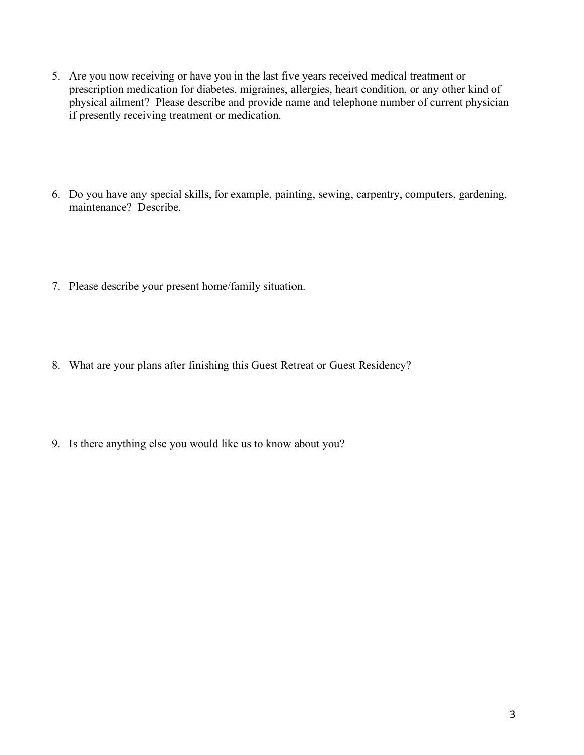- 5. Are you now receiving or have you in the last five years received medical treatment or prescription medication for diabetes, migraines, allergies, heart condition, or any other kind of physical ailment? Please describe and provide name and telephone number of current physician if presently receiving treatment or medication.
- 6. Do you have any special skills, for example, painting, sewing, carpentry, computers, gardening, maintenance? Describe.
- 7. Please describe your present home/family situation.
- 8. What are your plans after finishing this Guest Retreat or Guest Residency?
- 9. Is there anything else you would like us to know about you?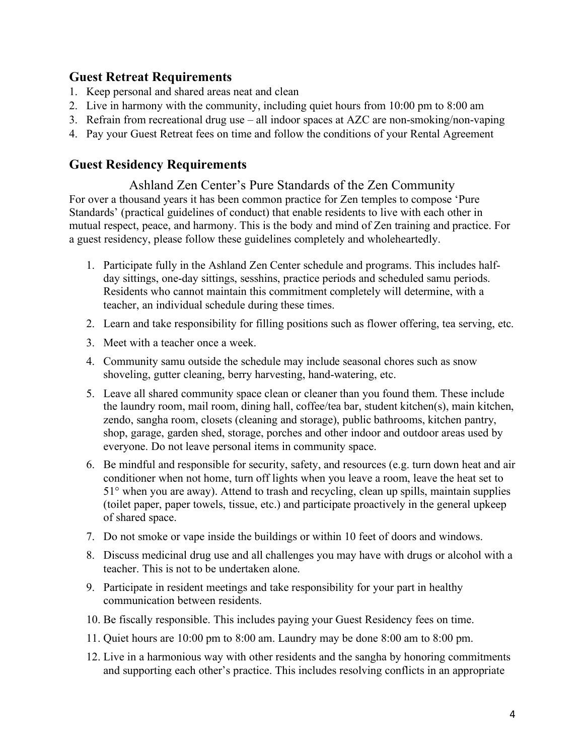## **Guest Retreat Requirements**

- 1. Keep personal and shared areas neat and clean
- 2. Live in harmony with the community, including quiet hours from 10:00 pm to 8:00 am
- 3. Refrain from recreational drug use all indoor spaces at AZC are non-smoking/non-vaping
- 4. Pay your Guest Retreat fees on time and follow the conditions of your Rental Agreement

# **Guest Residency Requirements**

Ashland Zen Center's Pure Standards of the Zen Community For over a thousand years it has been common practice for Zen temples to compose 'Pure Standards' (practical guidelines of conduct) that enable residents to live with each other in mutual respect, peace, and harmony. This is the body and mind of Zen training and practice. For a guest residency, please follow these guidelines completely and wholeheartedly.

- 1. Participate fully in the Ashland Zen Center schedule and programs. This includes halfday sittings, one-day sittings, sesshins, practice periods and scheduled samu periods. Residents who cannot maintain this commitment completely will determine, with a teacher, an individual schedule during these times.
- 2. Learn and take responsibility for filling positions such as flower offering, tea serving, etc.
- 3. Meet with a teacher once a week.
- 4. Community samu outside the schedule may include seasonal chores such as snow shoveling, gutter cleaning, berry harvesting, hand-watering, etc.
- 5. Leave all shared community space clean or cleaner than you found them. These include the laundry room, mail room, dining hall, coffee/tea bar, student kitchen(s), main kitchen, zendo, sangha room, closets (cleaning and storage), public bathrooms, kitchen pantry, shop, garage, garden shed, storage, porches and other indoor and outdoor areas used by everyone. Do not leave personal items in community space.
- 6. Be mindful and responsible for security, safety, and resources (e.g. turn down heat and air conditioner when not home, turn off lights when you leave a room, leave the heat set to 51° when you are away). Attend to trash and recycling, clean up spills, maintain supplies (toilet paper, paper towels, tissue, etc.) and participate proactively in the general upkeep of shared space.
- 7. Do not smoke or vape inside the buildings or within 10 feet of doors and windows.
- 8. Discuss medicinal drug use and all challenges you may have with drugs or alcohol with a teacher. This is not to be undertaken alone.
- 9. Participate in resident meetings and take responsibility for your part in healthy communication between residents.
- 10. Be fiscally responsible. This includes paying your Guest Residency fees on time.
- 11. Quiet hours are 10:00 pm to 8:00 am. Laundry may be done 8:00 am to 8:00 pm.
- 12. Live in a harmonious way with other residents and the sangha by honoring commitments and supporting each other's practice. This includes resolving conflicts in an appropriate